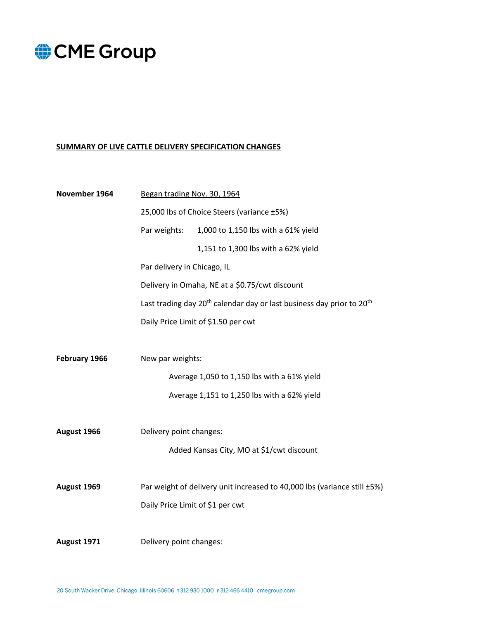#### **SUMMARY OF LIVE CATTLE DELIVERY SPECIFICATION CHANGES**

| November 1964 | Began trading Nov. 30, 1964                    |                                                                                               |  |
|---------------|------------------------------------------------|-----------------------------------------------------------------------------------------------|--|
|               | 25,000 lbs of Choice Steers (variance ±5%)     |                                                                                               |  |
|               | Par weights:                                   | 1,000 to 1,150 lbs with a 61% yield                                                           |  |
|               |                                                | 1,151 to 1,300 lbs with a 62% yield                                                           |  |
|               | Par delivery in Chicago, IL                    |                                                                                               |  |
|               | Delivery in Omaha, NE at a \$0.75/cwt discount |                                                                                               |  |
|               |                                                | Last trading day 20 <sup>th</sup> calendar day or last business day prior to 20 <sup>th</sup> |  |
|               |                                                | Daily Price Limit of \$1.50 per cwt                                                           |  |
|               |                                                |                                                                                               |  |
| February 1966 | New par weights:                               |                                                                                               |  |
|               |                                                | Average 1,050 to 1,150 lbs with a 61% yield                                                   |  |
|               |                                                | Average 1,151 to 1,250 lbs with a 62% yield                                                   |  |
|               |                                                |                                                                                               |  |
| August 1966   | Delivery point changes:                        |                                                                                               |  |
|               |                                                | Added Kansas City, MO at \$1/cwt discount                                                     |  |
|               |                                                |                                                                                               |  |
| August 1969   |                                                | Par weight of delivery unit increased to 40,000 lbs (variance still ±5%)                      |  |
|               | Daily Price Limit of \$1 per cwt               |                                                                                               |  |
|               |                                                |                                                                                               |  |
| August 1971   | Delivery point changes:                        |                                                                                               |  |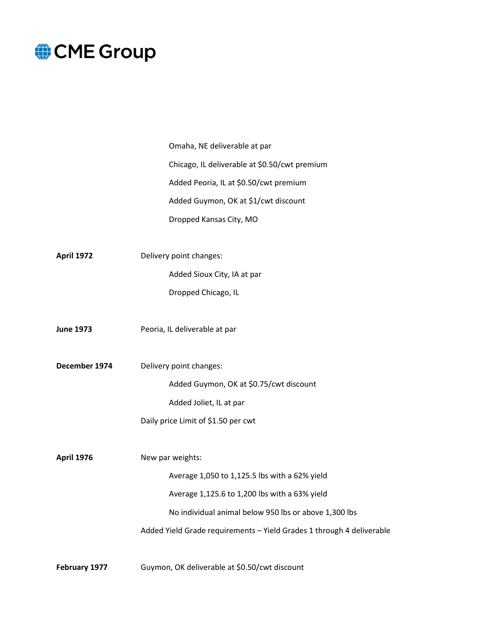|                   | Omaha, NE deliverable at par                                          |
|-------------------|-----------------------------------------------------------------------|
|                   | Chicago, IL deliverable at \$0.50/cwt premium                         |
|                   | Added Peoria, IL at \$0.50/cwt premium                                |
|                   | Added Guymon, OK at \$1/cwt discount                                  |
|                   | Dropped Kansas City, MO                                               |
|                   |                                                                       |
| <b>April 1972</b> | Delivery point changes:                                               |
|                   | Added Sioux City, IA at par                                           |
|                   | Dropped Chicago, IL                                                   |
|                   |                                                                       |
| <b>June 1973</b>  | Peoria, IL deliverable at par                                         |
|                   |                                                                       |
| December 1974     | Delivery point changes:                                               |
|                   | Added Guymon, OK at \$0.75/cwt discount                               |
|                   | Added Joliet, IL at par                                               |
|                   | Daily price Limit of \$1.50 per cwt                                   |
|                   |                                                                       |
| <b>April 1976</b> | New par weights:                                                      |
|                   | Average 1,050 to 1,125.5 lbs with a 62% yield                         |
|                   | Average 1,125.6 to 1,200 lbs with a 63% yield                         |
|                   | No individual animal below 950 lbs or above 1,300 lbs                 |
|                   | Added Yield Grade requirements - Yield Grades 1 through 4 deliverable |
|                   |                                                                       |

**February 1977** Guymon, OK deliverable at \$0.50/cwt discount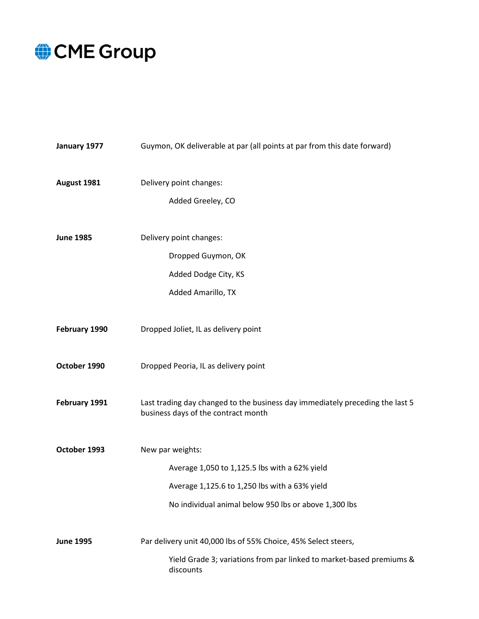| January 1977     | Guymon, OK deliverable at par (all points at par from this date forward)                                             |
|------------------|----------------------------------------------------------------------------------------------------------------------|
| August 1981      | Delivery point changes:<br>Added Greeley, CO                                                                         |
| <b>June 1985</b> | Delivery point changes:                                                                                              |
|                  | Dropped Guymon, OK                                                                                                   |
|                  | Added Dodge City, KS                                                                                                 |
|                  | Added Amarillo, TX                                                                                                   |
| February 1990    | Dropped Joliet, IL as delivery point                                                                                 |
| October 1990     | Dropped Peoria, IL as delivery point                                                                                 |
| February 1991    | Last trading day changed to the business day immediately preceding the last 5<br>business days of the contract month |
| October 1993     | New par weights:                                                                                                     |
|                  | Average 1,050 to 1,125.5 lbs with a 62% yield                                                                        |
|                  | Average 1,125.6 to 1,250 lbs with a 63% yield                                                                        |
|                  | No individual animal below 950 lbs or above 1,300 lbs                                                                |
| <b>June 1995</b> | Par delivery unit 40,000 lbs of 55% Choice, 45% Select steers,                                                       |
|                  | Yield Grade 3; variations from par linked to market-based premiums &<br>discounts                                    |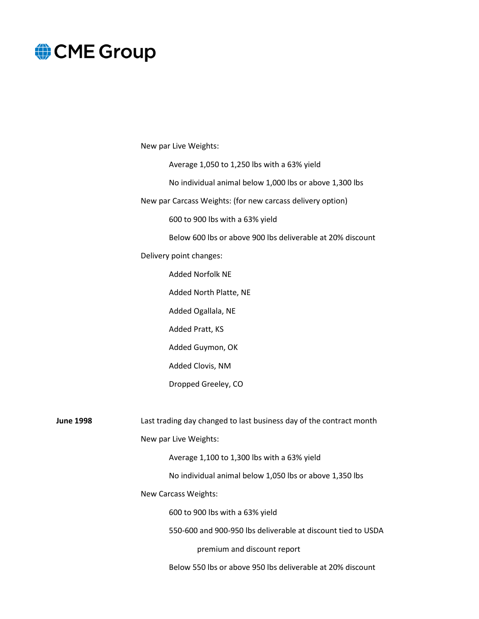New par Live Weights:

Average 1,050 to 1,250 lbs with a 63% yield

No individual animal below 1,000 lbs or above 1,300 lbs

New par Carcass Weights: (for new carcass delivery option)

600 to 900 lbs with a 63% yield

Below 600 lbs or above 900 lbs deliverable at 20% discount

Delivery point changes:

Added Norfolk NE Added North Platte, NE Added Ogallala, NE Added Pratt, KS Added Guymon, OK Added Clovis, NM Dropped Greeley, CO

**June 1998** Last trading day changed to last business day of the contract month New par Live Weights: Average 1,100 to 1,300 lbs with a 63% yield No individual animal below 1,050 lbs or above 1,350 lbs New Carcass Weights: 600 to 900 lbs with a 63% yield 550-600 and 900-950 lbs deliverable at discount tied to USDA premium and discount report

Below 550 lbs or above 950 lbs deliverable at 20% discount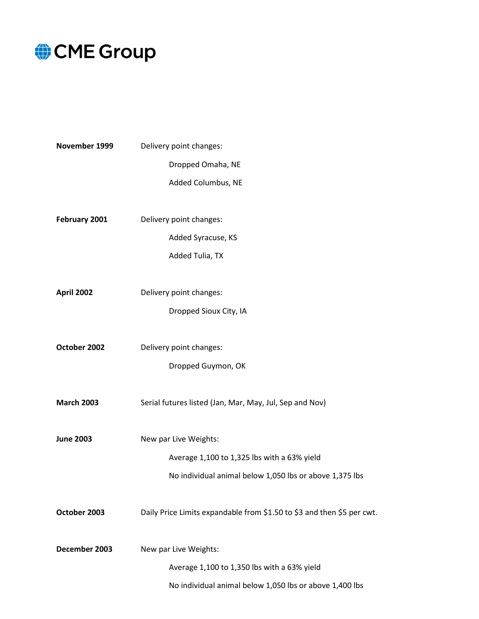

| November 1999     | Delivery point changes:                                                |  |
|-------------------|------------------------------------------------------------------------|--|
|                   | Dropped Omaha, NE                                                      |  |
|                   | Added Columbus, NE                                                     |  |
| February 2001     | Delivery point changes:                                                |  |
|                   | Added Syracuse, KS                                                     |  |
|                   | Added Tulia, TX                                                        |  |
| <b>April 2002</b> | Delivery point changes:                                                |  |
|                   | Dropped Sioux City, IA                                                 |  |
| October 2002      | Delivery point changes:                                                |  |
|                   | Dropped Guymon, OK                                                     |  |
| <b>March 2003</b> | Serial futures listed (Jan, Mar, May, Jul, Sep and Nov)                |  |
| <b>June 2003</b>  | New par Live Weights:                                                  |  |
|                   | Average 1,100 to 1,325 lbs with a 63% yield                            |  |
|                   | No individual animal below 1,050 lbs or above 1,375 lbs                |  |
| October 2003      | Daily Price Limits expandable from \$1.50 to \$3 and then \$5 per cwt. |  |
| December 2003     | New par Live Weights:                                                  |  |
|                   | Average 1,100 to 1,350 lbs with a 63% yield                            |  |
|                   | No individual animal below 1,050 lbs or above 1,400 lbs                |  |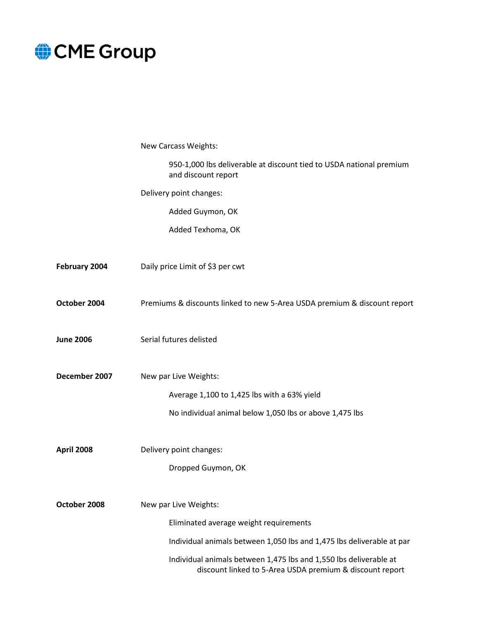

|                   | New Carcass Weights:                                                                                                          |
|-------------------|-------------------------------------------------------------------------------------------------------------------------------|
|                   | 950-1,000 lbs deliverable at discount tied to USDA national premium<br>and discount report                                    |
|                   | Delivery point changes:                                                                                                       |
|                   | Added Guymon, OK                                                                                                              |
|                   | Added Texhoma, OK                                                                                                             |
|                   |                                                                                                                               |
| February 2004     | Daily price Limit of \$3 per cwt                                                                                              |
|                   |                                                                                                                               |
| October 2004      | Premiums & discounts linked to new 5-Area USDA premium & discount report                                                      |
|                   |                                                                                                                               |
| <b>June 2006</b>  | Serial futures delisted                                                                                                       |
| December 2007     | New par Live Weights:                                                                                                         |
|                   |                                                                                                                               |
|                   | Average 1,100 to 1,425 lbs with a 63% yield                                                                                   |
|                   | No individual animal below 1,050 lbs or above 1,475 lbs                                                                       |
| <b>April 2008</b> | Delivery point changes:                                                                                                       |
|                   | Dropped Guymon, OK                                                                                                            |
|                   |                                                                                                                               |
| October 2008      | New par Live Weights:                                                                                                         |
|                   | Eliminated average weight requirements                                                                                        |
|                   | Individual animals between 1,050 lbs and 1,475 lbs deliverable at par                                                         |
|                   | Individual animals between 1,475 lbs and 1,550 lbs deliverable at<br>discount linked to 5-Area USDA premium & discount report |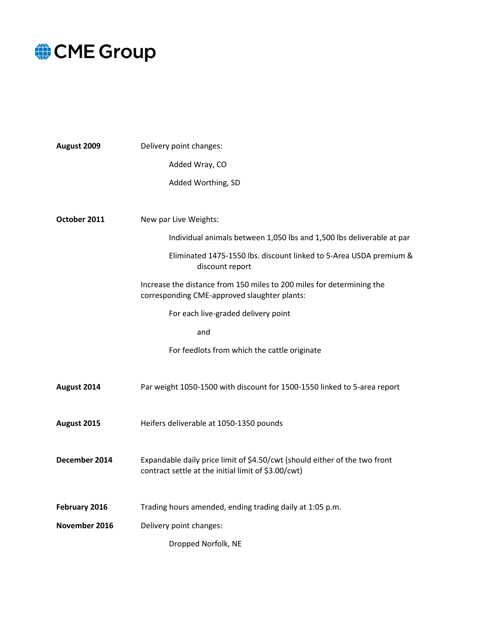| August 2009   | Delivery point changes:                                                                                                           |
|---------------|-----------------------------------------------------------------------------------------------------------------------------------|
|               | Added Wray, CO                                                                                                                    |
|               | Added Worthing, SD                                                                                                                |
|               |                                                                                                                                   |
| October 2011  | New par Live Weights:                                                                                                             |
|               | Individual animals between 1,050 lbs and 1,500 lbs deliverable at par                                                             |
|               | Eliminated 1475-1550 lbs. discount linked to 5-Area USDA premium &<br>discount report                                             |
|               | Increase the distance from 150 miles to 200 miles for determining the<br>corresponding CME-approved slaughter plants:             |
|               | For each live-graded delivery point                                                                                               |
|               | and                                                                                                                               |
|               | For feedlots from which the cattle originate                                                                                      |
|               |                                                                                                                                   |
| August 2014   | Par weight 1050-1500 with discount for 1500-1550 linked to 5-area report                                                          |
|               |                                                                                                                                   |
| August 2015   | Heifers deliverable at 1050-1350 pounds                                                                                           |
|               |                                                                                                                                   |
| December 2014 | Expandable daily price limit of \$4.50/cwt (should either of the two front<br>contract settle at the initial limit of \$3.00/cwt) |
|               |                                                                                                                                   |
| February 2016 | Trading hours amended, ending trading daily at 1:05 p.m.                                                                          |
| November 2016 | Delivery point changes:                                                                                                           |
|               | Dropped Norfolk, NE                                                                                                               |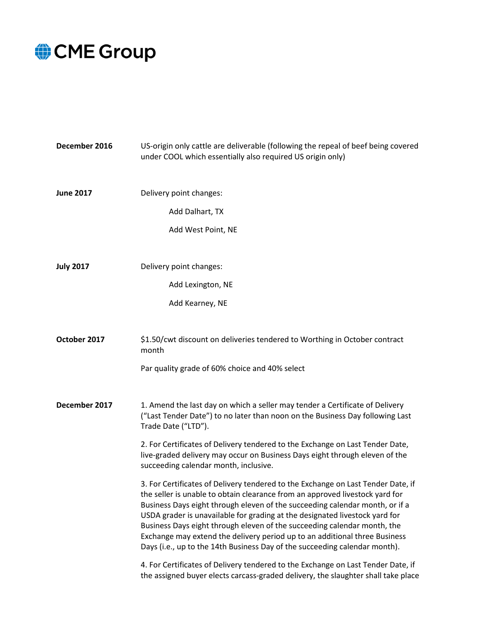| December 2016    | US-origin only cattle are deliverable (following the repeal of beef being covered<br>under COOL which essentially also required US origin only)                                                                                                                                                                                                                                                                                                                                                                                                                         |
|------------------|-------------------------------------------------------------------------------------------------------------------------------------------------------------------------------------------------------------------------------------------------------------------------------------------------------------------------------------------------------------------------------------------------------------------------------------------------------------------------------------------------------------------------------------------------------------------------|
| <b>June 2017</b> | Delivery point changes:                                                                                                                                                                                                                                                                                                                                                                                                                                                                                                                                                 |
|                  | Add Dalhart, TX                                                                                                                                                                                                                                                                                                                                                                                                                                                                                                                                                         |
|                  | Add West Point, NE                                                                                                                                                                                                                                                                                                                                                                                                                                                                                                                                                      |
| <b>July 2017</b> | Delivery point changes:                                                                                                                                                                                                                                                                                                                                                                                                                                                                                                                                                 |
|                  | Add Lexington, NE                                                                                                                                                                                                                                                                                                                                                                                                                                                                                                                                                       |
|                  | Add Kearney, NE                                                                                                                                                                                                                                                                                                                                                                                                                                                                                                                                                         |
| October 2017     | \$1.50/cwt discount on deliveries tendered to Worthing in October contract<br>month                                                                                                                                                                                                                                                                                                                                                                                                                                                                                     |
|                  | Par quality grade of 60% choice and 40% select                                                                                                                                                                                                                                                                                                                                                                                                                                                                                                                          |
| December 2017    | 1. Amend the last day on which a seller may tender a Certificate of Delivery<br>("Last Tender Date") to no later than noon on the Business Day following Last<br>Trade Date ("LTD").                                                                                                                                                                                                                                                                                                                                                                                    |
|                  | 2. For Certificates of Delivery tendered to the Exchange on Last Tender Date,<br>live-graded delivery may occur on Business Days eight through eleven of the<br>succeeding calendar month, inclusive.                                                                                                                                                                                                                                                                                                                                                                   |
|                  | 3. For Certificates of Delivery tendered to the Exchange on Last Tender Date, if<br>the seller is unable to obtain clearance from an approved livestock yard for<br>Business Days eight through eleven of the succeeding calendar month, or if a<br>USDA grader is unavailable for grading at the designated livestock yard for<br>Business Days eight through eleven of the succeeding calendar month, the<br>Exchange may extend the delivery period up to an additional three Business<br>Days (i.e., up to the 14th Business Day of the succeeding calendar month). |
|                  | 4. For Certificates of Delivery tendered to the Exchange on Last Tender Date, if<br>the assigned buyer elects carcass-graded delivery, the slaughter shall take place                                                                                                                                                                                                                                                                                                                                                                                                   |